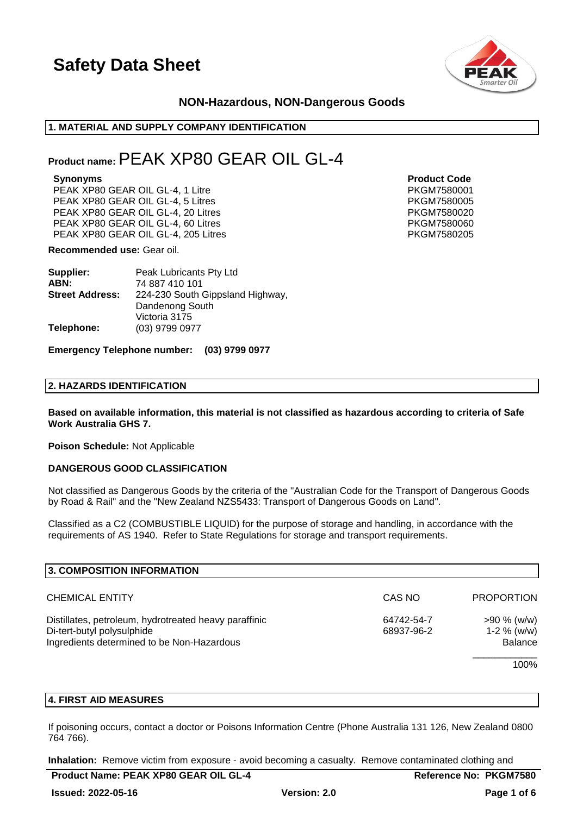

### **NON-Hazardous, NON-Dangerous Goods**

### **1. MATERIAL AND SUPPLY COMPANY IDENTIFICATION**

### **Product name:**PEAK XP80 GEAR OIL GL-4

PEAK XP80 GEAR OIL GL-4, 1 Litre **PEAK AT A SET A SET A PKGM7580001** PEAK XP80 GEAR OIL GL-4, 5 Litres PEAK AT A PKGM7580005 PEAK XP80 GEAR OIL GL-4, 20 Litres **PEAK AT A SET A SET A PKGM7580020** PEAK XP80 GEAR OIL GL-4, 60 Litres PEAK XP80 GEAR OIL GL-4, 60 Litres PEAK XP80 GEAR OIL GL-4, 205 Litres PEAK AND PKGM7580205

**Recommended use:** Gear oil.

| Supplier:              | Peak Lubricants Pty Ltd          |  |
|------------------------|----------------------------------|--|
| ABN:                   | 74 887 410 101                   |  |
| <b>Street Address:</b> | 224-230 South Gippsland Highway, |  |
|                        | Dandenong South                  |  |
|                        | Victoria 3175                    |  |
| Telephone:             | (03) 9799 0977                   |  |

**Synonyms Product Code**

#### **Emergency Telephone number: (03) 9799 0977**

### **2. HAZARDS IDENTIFICATION**

**Based on available information, this material is not classified as hazardous according to criteria of Safe Work Australia GHS 7.**

**Poison Schedule:** Not Applicable

### **DANGEROUS GOOD CLASSIFICATION**

Not classified as Dangerous Goods by the criteria of the "Australian Code for the Transport of Dangerous Goods by Road & Rail" and the "New Zealand NZS5433: Transport of Dangerous Goods on Land".

Classified as a C2 (COMBUSTIBLE LIQUID) for the purpose of storage and handling, in accordance with the requirements of AS 1940. Refer to State Regulations for storage and transport requirements.

| 3. COMPOSITION INFORMATION                                                                                                        |                          |                                                  |
|-----------------------------------------------------------------------------------------------------------------------------------|--------------------------|--------------------------------------------------|
| <b>CHEMICAL ENTITY</b>                                                                                                            | CAS NO                   | <b>PROPORTION</b>                                |
| Distillates, petroleum, hydrotreated heavy paraffinic<br>Di-tert-butyl polysulphide<br>Ingredients determined to be Non-Hazardous | 64742-54-7<br>68937-96-2 | $>90\%$ (w/w)<br>1-2 $%$ (w/w)<br><b>Balance</b> |
|                                                                                                                                   |                          | 100%                                             |

### **4. FIRST AID MEASURES**

If poisoning occurs, contact a doctor or Poisons Information Centre (Phone Australia 131 126, New Zealand 0800 764 766).

**Inhalation:** Remove victim from exposure - avoid becoming a casualty. Remove contaminated clothing and

| <b>Product Name: PEAK XP80 GEAR OIL GL-</b> |  |
|---------------------------------------------|--|
|---------------------------------------------|--|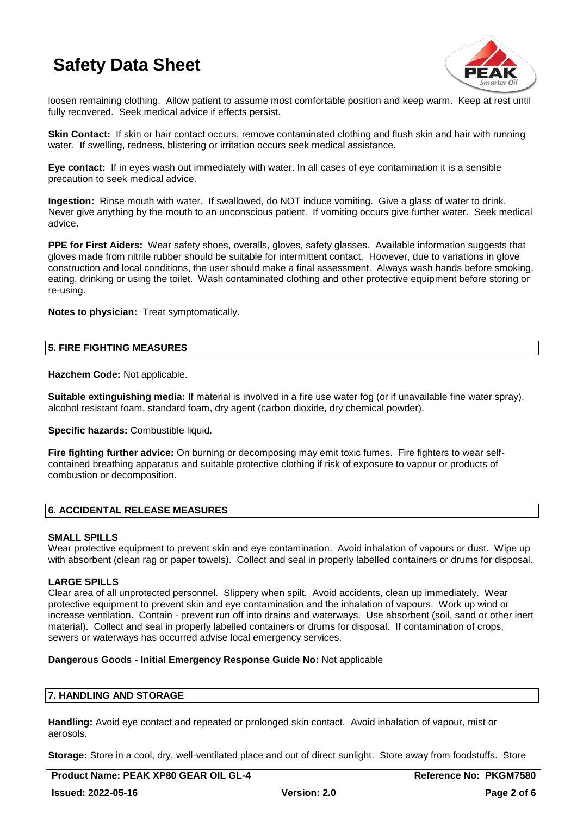

loosen remaining clothing. Allow patient to assume most comfortable position and keep warm. Keep at rest until fully recovered. Seek medical advice if effects persist.

**Skin Contact:** If skin or hair contact occurs, remove contaminated clothing and flush skin and hair with running water. If swelling, redness, blistering or irritation occurs seek medical assistance.

**Eye contact:** If in eyes wash out immediately with water. In all cases of eye contamination it is a sensible precaution to seek medical advice.

**Ingestion:** Rinse mouth with water. If swallowed, do NOT induce vomiting. Give a glass of water to drink. Never give anything by the mouth to an unconscious patient. If vomiting occurs give further water. Seek medical advice.

**PPE for First Aiders:** Wear safety shoes, overalls, gloves, safety glasses. Available information suggests that gloves made from nitrile rubber should be suitable for intermittent contact. However, due to variations in glove construction and local conditions, the user should make a final assessment. Always wash hands before smoking, eating, drinking or using the toilet. Wash contaminated clothing and other protective equipment before storing or re-using.

**Notes to physician:** Treat symptomatically.

### **5. FIRE FIGHTING MEASURES**

**Hazchem Code:** Not applicable.

**Suitable extinguishing media:** If material is involved in a fire use water fog (or if unavailable fine water spray), alcohol resistant foam, standard foam, dry agent (carbon dioxide, dry chemical powder).

**Specific hazards:** Combustible liquid.

**Fire fighting further advice:** On burning or decomposing may emit toxic fumes. Fire fighters to wear selfcontained breathing apparatus and suitable protective clothing if risk of exposure to vapour or products of combustion or decomposition.

### **6. ACCIDENTAL RELEASE MEASURES**

### **SMALL SPILLS**

Wear protective equipment to prevent skin and eye contamination. Avoid inhalation of vapours or dust. Wipe up with absorbent (clean rag or paper towels). Collect and seal in properly labelled containers or drums for disposal.

### **LARGE SPILLS**

Clear area of all unprotected personnel. Slippery when spilt. Avoid accidents, clean up immediately. Wear protective equipment to prevent skin and eye contamination and the inhalation of vapours. Work up wind or increase ventilation. Contain - prevent run off into drains and waterways. Use absorbent (soil, sand or other inert material). Collect and seal in properly labelled containers or drums for disposal. If contamination of crops, sewers or waterways has occurred advise local emergency services.

### **Dangerous Goods - Initial Emergency Response Guide No:** Not applicable

### **7. HANDLING AND STORAGE**

**Handling:** Avoid eye contact and repeated or prolonged skin contact. Avoid inhalation of vapour, mist or aerosols.

**Storage:** Store in a cool, dry, well-ventilated place and out of direct sunlight. Store away from foodstuffs. Store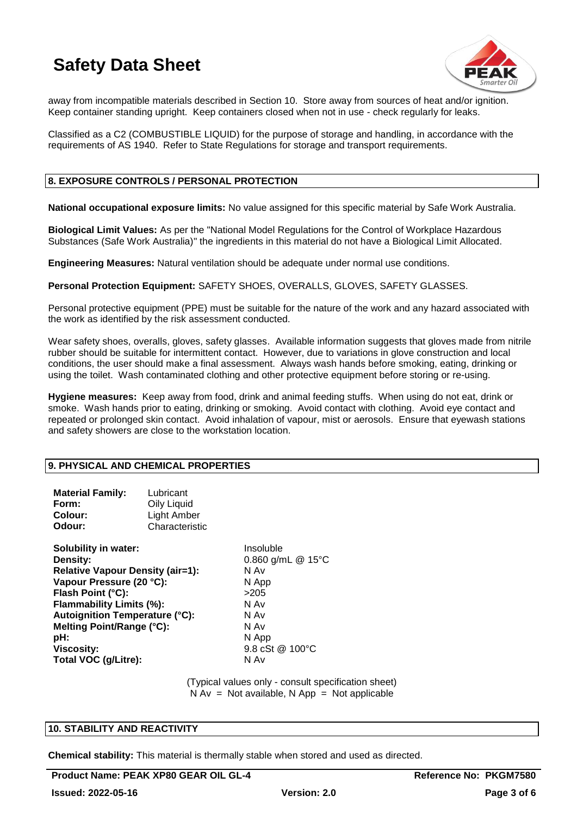

away from incompatible materials described in Section 10. Store away from sources of heat and/or ignition. Keep container standing upright. Keep containers closed when not in use - check regularly for leaks.

Classified as a C2 (COMBUSTIBLE LIQUID) for the purpose of storage and handling, in accordance with the requirements of AS 1940. Refer to State Regulations for storage and transport requirements.

### **8. EXPOSURE CONTROLS / PERSONAL PROTECTION**

**National occupational exposure limits:** No value assigned for this specific material by Safe Work Australia.

**Biological Limit Values:** As per the "National Model Regulations for the Control of Workplace Hazardous Substances (Safe Work Australia)" the ingredients in this material do not have a Biological Limit Allocated.

**Engineering Measures:** Natural ventilation should be adequate under normal use conditions.

**Personal Protection Equipment:** SAFETY SHOES, OVERALLS, GLOVES, SAFETY GLASSES.

Personal protective equipment (PPE) must be suitable for the nature of the work and any hazard associated with the work as identified by the risk assessment conducted.

Wear safety shoes, overalls, gloves, safety glasses. Available information suggests that gloves made from nitrile rubber should be suitable for intermittent contact. However, due to variations in glove construction and local conditions, the user should make a final assessment. Always wash hands before smoking, eating, drinking or using the toilet. Wash contaminated clothing and other protective equipment before storing or re-using.

**Hygiene measures:** Keep away from food, drink and animal feeding stuffs. When using do not eat, drink or smoke. Wash hands prior to eating, drinking or smoking. Avoid contact with clothing. Avoid eye contact and repeated or prolonged skin contact. Avoid inhalation of vapour, mist or aerosols. Ensure that eyewash stations and safety showers are close to the workstation location.

### **9. PHYSICAL AND CHEMICAL PROPERTIES**

| <b>Material Family:</b><br>Form:<br>Colour:<br>Odour:                                                                                                                                                                                                                                     | Lubricant<br>Oily Liquid<br><b>Light Amber</b><br>Characteristic |                                                                                                                        |
|-------------------------------------------------------------------------------------------------------------------------------------------------------------------------------------------------------------------------------------------------------------------------------------------|------------------------------------------------------------------|------------------------------------------------------------------------------------------------------------------------|
| Solubility in water:<br>Density:<br><b>Relative Vapour Density (air=1):</b><br>Vapour Pressure (20 °C):<br>Flash Point (°C):<br><b>Flammability Limits (%):</b><br><b>Autoignition Temperature (°C):</b><br>Melting Point/Range (°C):<br>pH:<br><b>Viscosity:</b><br>Total VOC (g/Litre): |                                                                  | Insoluble<br>0.860 g/mL $@$ 15°C<br>N Av<br>N App<br>>20.5<br>N Av<br>N Av<br>N Av<br>N App<br>9.8 cSt @ 100°C<br>N Av |

(Typical values only - consult specification sheet)  $N Av = Not available, N App = Not applicable$ 

### **10. STABILITY AND REACTIVITY**

**Chemical stability:** This material is thermally stable when stored and used as directed.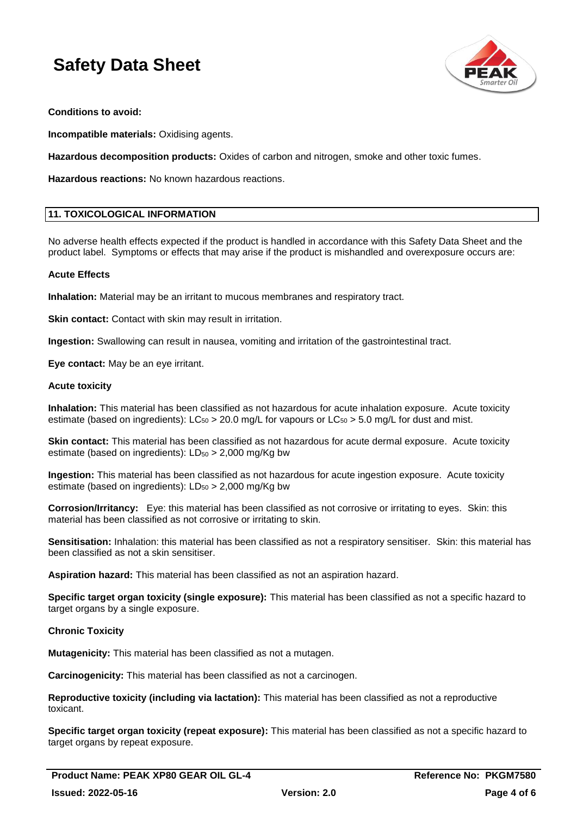

**Conditions to avoid:**

**Incompatible materials:** Oxidising agents.

**Hazardous decomposition products:** Oxides of carbon and nitrogen, smoke and other toxic fumes.

**Hazardous reactions:** No known hazardous reactions.

### **11. TOXICOLOGICAL INFORMATION**

No adverse health effects expected if the product is handled in accordance with this Safety Data Sheet and the product label. Symptoms or effects that may arise if the product is mishandled and overexposure occurs are:

### **Acute Effects**

**Inhalation:** Material may be an irritant to mucous membranes and respiratory tract.

**Skin contact:** Contact with skin may result in irritation.

**Ingestion:** Swallowing can result in nausea, vomiting and irritation of the gastrointestinal tract.

**Eye contact:** May be an eye irritant.

### **Acute toxicity**

**Inhalation:** This material has been classified as not hazardous for acute inhalation exposure. Acute toxicity estimate (based on ingredients):  $LC_{50} > 20.0$  mg/L for vapours or  $LC_{50} > 5.0$  mg/L for dust and mist.

**Skin contact:** This material has been classified as not hazardous for acute dermal exposure. Acute toxicity estimate (based on ingredients):  $LD_{50} > 2,000$  mg/Kg bw

**Ingestion:** This material has been classified as not hazardous for acute ingestion exposure. Acute toxicity estimate (based on ingredients):  $LD_{50} > 2,000$  mg/Kg bw

**Corrosion/Irritancy:** Eye: this material has been classified as not corrosive or irritating to eyes. Skin: this material has been classified as not corrosive or irritating to skin.

**Sensitisation:** Inhalation: this material has been classified as not a respiratory sensitiser. Skin: this material has been classified as not a skin sensitiser.

**Aspiration hazard:** This material has been classified as not an aspiration hazard.

**Specific target organ toxicity (single exposure):** This material has been classified as not a specific hazard to target organs by a single exposure.

### **Chronic Toxicity**

**Mutagenicity:** This material has been classified as not a mutagen.

**Carcinogenicity:** This material has been classified as not a carcinogen.

**Reproductive toxicity (including via lactation):** This material has been classified as not a reproductive toxicant.

**Specific target organ toxicity (repeat exposure):** This material has been classified as not a specific hazard to target organs by repeat exposure.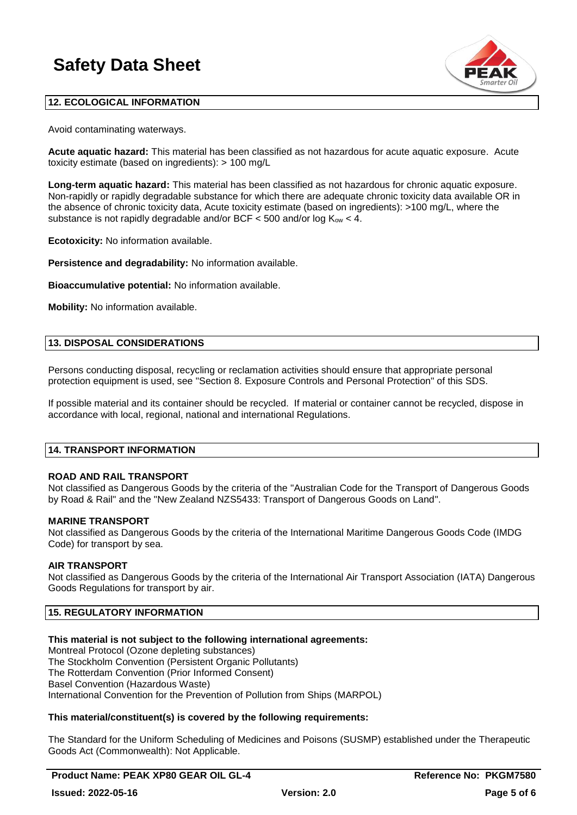

### **12. ECOLOGICAL INFORMATION**

Avoid contaminating waterways.

**Acute aquatic hazard:** This material has been classified as not hazardous for acute aquatic exposure. Acute toxicity estimate (based on ingredients): > 100 mg/L

**Long-term aquatic hazard:** This material has been classified as not hazardous for chronic aquatic exposure. Non-rapidly or rapidly degradable substance for which there are adequate chronic toxicity data available OR in the absence of chronic toxicity data, Acute toxicity estimate (based on ingredients): >100 mg/L, where the substance is not rapidly degradable and/or BCF  $\lt$  500 and/or log  $K_{ow} \lt$  4.

**Ecotoxicity:** No information available.

**Persistence and degradability:** No information available.

**Bioaccumulative potential:** No information available.

**Mobility:** No information available.

### **13. DISPOSAL CONSIDERATIONS**

Persons conducting disposal, recycling or reclamation activities should ensure that appropriate personal protection equipment is used, see "Section 8. Exposure Controls and Personal Protection" of this SDS.

If possible material and its container should be recycled. If material or container cannot be recycled, dispose in accordance with local, regional, national and international Regulations.

### **14. TRANSPORT INFORMATION**

### **ROAD AND RAIL TRANSPORT**

Not classified as Dangerous Goods by the criteria of the "Australian Code for the Transport of Dangerous Goods by Road & Rail" and the "New Zealand NZS5433: Transport of Dangerous Goods on Land".

### **MARINE TRANSPORT**

Not classified as Dangerous Goods by the criteria of the International Maritime Dangerous Goods Code (IMDG Code) for transport by sea.

### **AIR TRANSPORT**

Not classified as Dangerous Goods by the criteria of the International Air Transport Association (IATA) Dangerous Goods Regulations for transport by air.

### **15. REGULATORY INFORMATION**

### **This material is not subject to the following international agreements:**

Montreal Protocol (Ozone depleting substances) The Stockholm Convention (Persistent Organic Pollutants) The Rotterdam Convention (Prior Informed Consent) Basel Convention (Hazardous Waste) International Convention for the Prevention of Pollution from Ships (MARPOL)

### **This material/constituent(s) is covered by the following requirements:**

The Standard for the Uniform Scheduling of Medicines and Poisons (SUSMP) established under the Therapeutic Goods Act (Commonwealth): Not Applicable.